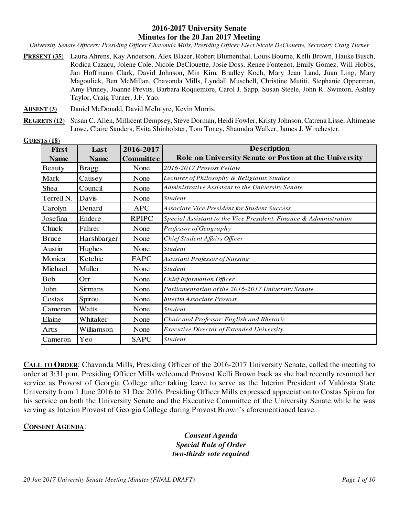#### **2016-2017 University Senate Minutes for the 20 Jan 2017 Meeting**

*University Senate Officers: Presiding Officer Chavonda Mills, Presiding Officer Elect Nicole DeClouette, Secretary Craig Turner* 

- **PRESENT (35)** Laura Ahrens, Kay Anderson, Alex Blazer, Robert Blumenthal, Louis Bourne, Kelli Brown, Hauke Busch, Rodica Cazacu, Jolene Cole, Nicole DeClouette, Josie Doss, Renee Fontenot, Emily Gomez, Will Hobbs, Jan Hoffmann Clark, David Johnson, Min Kim, Bradley Koch, Mary Jean Land, Juan Ling, Mary Magoulick, Ben McMillan, Chavonda Mills, Lyndall Muschell, Christine Mutiti, Stephanie Opperman, Amy Pinney, Joanne Previts, Barbara Roquemore, Carol J. Sapp, Susan Steele, John R. Swinton, Ashley Taylor, Craig Turner, J.F. Yao.
- **ABSENT (3)** Daniel McDonald, David McIntyre, Kevin Morris.
- **REGRETS (12)** Susan C. Allen, Millicent Dempsey, Steve Dorman, Heidi Fowler, Kristy Johnson, Catrena Lisse, Altimease Lowe, Claire Sanders, Evita Shinholster, Tom Toney, Shaundra Walker, James J. Winchester.

| First                 | Last           | 2016-2017        | <b>Description</b>                                                |
|-----------------------|----------------|------------------|-------------------------------------------------------------------|
| <b>Name</b>           | <b>Name</b>    | <b>Committee</b> | Role on University Senate or Postion at the University            |
| Beauty                | <b>Bragg</b>   | None             | 2016-2017 Provost Fellow                                          |
| Mark                  | Causey         | None             | Lecturer of Philosophy & Religioius Studies                       |
| Shea                  | Council        | None             | Administrative Assistant to the University Senate                 |
| Terrell <sub>N.</sub> | Davis          | None             | <b>Student</b>                                                    |
| Carolyn               | Denard         | <b>APC</b>       | <b>Associate Vice President for Student Success</b>               |
| Josefina              | Endere         | <b>RPIPC</b>     | Special Assistant to the Vice President, Finance & Administration |
| Chuck                 | Fahrer         | None             | Professor of Geography                                            |
| <b>Bruce</b>          | Harshbarger    | None             | Chief Student Affairs Officer                                     |
| Austin                | Hughes         | None             | <b>Student</b>                                                    |
| Monica                | Ketchie        | FAPC             | Assistant Professor of Nursing                                    |
| Michael               | Muller         | None             | <b>Student</b>                                                    |
| <b>Bob</b>            | Orr            | None             | Chief Information Officer                                         |
| John                  | <b>Sirmans</b> | None             | Parliamentarian of the 2016-2017 University Senate                |
| Costas                | Spirou         | None             | <b>Interim Associate Provost</b>                                  |
| Cameron               | Watts          | None             | <b>Student</b>                                                    |
| Elaine                | Whitaker       | None             | Chair and Professor, English and Rhetoric                         |
| Artis                 | Williamson     | None             | <b>Executive Director of Extended University</b>                  |
| Cameron               | Yeo            | <b>SAPC</b>      | <b>Student</b>                                                    |

**GUESTS (18)** 

**CALL TO ORDER:** Chavonda Mills, Presiding Officer of the 2016-2017 University Senate, called the meeting to order at 3:31 p.m. Presiding Officer Mills welcomed Provost Kelli Brown back as she had recently resumed her service as Provost of Georgia College after taking leave to serve as the Interim President of Valdosta State University from 1 June 2016 to 31 Dec 2016. Presiding Officer Mills expressed appreciation to Costas Spirou for his service on both the University Senate and the Executive Committee of the University Senate while he was serving as Interim Provost of Georgia College during Provost Brown's aforementioned leave.

## **CONSENT AGENDA**:

*Consent Agenda Special Rule of Order two-thirds vote required*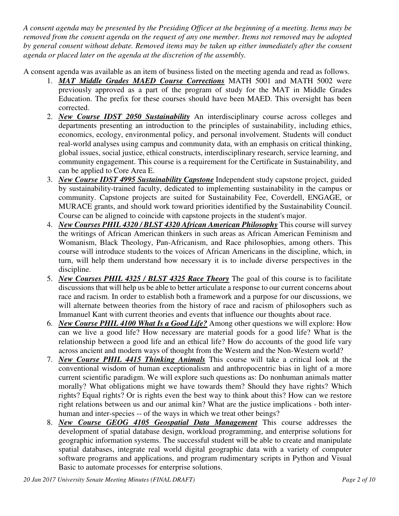*A consent agenda may be presented by the Presiding Officer at the beginning of a meeting. Items may be removed from the consent agenda on the request of any one member. Items not removed may be adopted by general consent without debate. Removed items may be taken up either immediately after the consent agenda or placed later on the agenda at the discretion of the assembly.* 

A consent agenda was available as an item of business listed on the meeting agenda and read as follows.

- 1. *MAT Middle Grades MAED Course Corrections* MATH 5001 and MATH 5002 were previously approved as a part of the program of study for the MAT in Middle Grades Education. The prefix for these courses should have been MAED. This oversight has been corrected.
- 2. *New Course IDST 2050 Sustainability* An interdisciplinary course across colleges and departments presenting an introduction to the principles of sustainability, including ethics, economics, ecology, environmental policy, and personal involvement. Students will conduct real-world analyses using campus and community data, with an emphasis on critical thinking, global issues, social justice, ethical constructs, interdisciplinary research, service learning, and community engagement. This course is a requirement for the Certificate in Sustainability, and can be applied to Core Area E.
- 3. *New Course IDST 4995 Sustainability Capstone* Independent study capstone project, guided by sustainability-trained faculty, dedicated to implementing sustainability in the campus or community. Capstone projects are suited for Sustainability Fee, Coverdell, ENGAGE, or MURACE grants, and should work toward priorities identified by the Sustainability Council. Course can be aligned to coincide with capstone projects in the student's major.
- 4. *New Courses PHIL 4320 / BLST 4320 African American Philosophy* This course will survey the writings of African American thinkers in such areas as African American Feminism and Womanism, Black Theology, Pan-Africanism, and Race philosophies, among others. This course will introduce students to the voices of African Americans in the discipline, which, in turn, will help them understand how necessary it is to include diverse perspectives in the discipline.
- 5. *New Courses PHIL 4325 / BLST 4325 Race Theory* The goal of this course is to facilitate discussions that will help us be able to better articulate a response to our current concerns about race and racism. In order to establish both a framework and a purpose for our discussions, we will alternate between theories from the history of race and racism of philosophers such as Immanuel Kant with current theories and events that influence our thoughts about race.
- 6. *New Course PHIL 4100 What Is a Good Life?* Among other questions we will explore: How can we live a good life? How necessary are material goods for a good life? What is the relationship between a good life and an ethical life? How do accounts of the good life vary across ancient and modern ways of thought from the Western and the Non-Western world?
- 7. *New Course PHIL 4415 Thinking Animals* This course will take a critical look at the conventional wisdom of human exceptionalism and anthropocentric bias in light of a more current scientific paradigm. We will explore such questions as: Do nonhuman animals matter morally? What obligations might we have towards them? Should they have rights? Which rights? Equal rights? Or is rights even the best way to think about this? How can we restore right relations between us and our animal kin? What are the justice implications - both interhuman and inter-species -- of the ways in which we treat other beings?
- 8. *New Course GEOG 4105 Geospatial Data Management* This course addresses the development of spatial database design, workload programming, and enterprise solutions for geographic information systems. The successful student will be able to create and manipulate spatial databases, integrate real world digital geographic data with a variety of computer software programs and applications, and program rudimentary scripts in Python and Visual Basic to automate processes for enterprise solutions.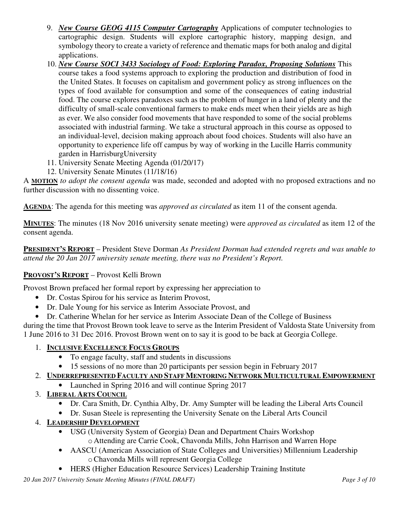- 9. *New Course GEOG 4115 Computer Cartography* Applications of computer technologies to cartographic design. Students will explore cartographic history, mapping design, and symbology theory to create a variety of reference and thematic maps for both analog and digital applications.
- 10. *New Course SOCI 3433 Sociology of Food: Exploring Paradox, Proposing Solutions* This course takes a food systems approach to exploring the production and distribution of food in the United States. It focuses on capitalism and government policy as strong influences on the types of food available for consumption and some of the consequences of eating industrial food. The course explores paradoxes such as the problem of hunger in a land of plenty and the difficulty of small-scale conventional farmers to make ends meet when their yields are as high as ever. We also consider food movements that have responded to some of the social problems associated with industrial farming. We take a structural approach in this course as opposed to an individual-level, decision making approach about food choices. Students will also have an opportunity to experience life off campus by way of working in the Lucille Harris community garden in HarrisburgUniversity
- 11. University Senate Meeting Agenda (01/20/17)
- 12. University Senate Minutes (11/18/16)

A **MOTION** *to adopt the consent agenda* was made, seconded and adopted with no proposed extractions and no further discussion with no dissenting voice.

**AGENDA**: The agenda for this meeting was *approved as circulated* as item 11 of the consent agenda.

**MINUTES**: The minutes (18 Nov 2016 university senate meeting) were *approved as circulated* as item 12 of the consent agenda.

**PRESIDENT'S REPORT** – President Steve Dorman *As President Dorman had extended regrets and was unable to attend the 20 Jan 2017 university senate meeting, there was no President's Report.*

# **PROVOST'S REPORT** – Provost Kelli Brown

Provost Brown prefaced her formal report by expressing her appreciation to

- Dr. Costas Spirou for his service as Interim Provost,
- Dr. Dale Young for his service as Interim Associate Provost, and
- Dr. Catherine Whelan for her service as Interim Associate Dean of the College of Business

during the time that Provost Brown took leave to serve as the Interim President of Valdosta State University from 1 June 2016 to 31 Dec 2016. Provost Brown went on to say it is good to be back at Georgia College.

# 1. **INCLUSIVE EXCELLENCE FOCUS GROUPS**

- To engage faculty, staff and students in discussions
- 15 sessions of no more than 20 participants per session begin in February 2017

# 2. **UNDERREPRESENTED FACULTY AND STAFF MENTORING NETWORK MULTICULTURAL EMPOWERMENT**

- Launched in Spring 2016 and will continue Spring 2017
- 3. **LIBERAL ARTS COUNCIL**
	- Dr. Cara Smith, Dr. Cynthia Alby, Dr. Amy Sumpter will be leading the Liberal Arts Council
	- Dr. Susan Steele is representing the University Senate on the Liberal Arts Council
- 4. **LEADERSHIP DEVELOPMENT**
	- USG (University System of Georgia) Dean and Department Chairs Workshop o Attending are Carrie Cook, Chavonda Mills, John Harrison and Warren Hope
	- AASCU (American Association of State Colleges and Universities) Millennium Leadership oChavonda Mills will represent Georgia College
	- HERS (Higher Education Resource Services) Leadership Training Institute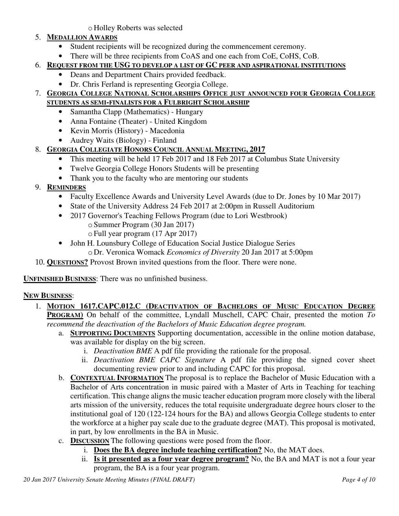o Holley Roberts was selected

# 5. **MEDALLION AWARDS**

- Student recipients will be recognized during the commencement ceremony.
- There will be three recipients from CoAS and one each from CoE, CoHS, CoB.

# 6. **REQUEST FROM THE USG TO DEVELOP A LIST OF GC PEER AND ASPIRATIONAL INSTITUTIONS**

- Deans and Department Chairs provided feedback.
- Dr. Chris Ferland is representing Georgia College.

## 7. **GEORGIA COLLEGE NATIONAL SCHOLARSHIPS OFFICE JUST ANNOUNCED FOUR GEORGIA COLLEGE STUDENTS AS SEMI-FINALISTS FOR A FULBRIGHT SCHOLARSHIP**

- Samantha Clapp (Mathematics) Hungary
- Anna Fontaine (Theater) United Kingdom
- Kevin Morris (History) Macedonia
- Audrey Waits (Biology) Finland

# 8. **GEORGIA COLLEGIATE HONORS COUNCIL ANNUAL MEETING, 2017**

- This meeting will be held 17 Feb 2017 and 18 Feb 2017 at Columbus State University
- Twelve Georgia College Honors Students will be presenting
- Thank you to the faculty who are mentoring our students
- 9. **REMINDERS**
	- Faculty Excellence Awards and University Level Awards (due to Dr. Jones by 10 Mar 2017)
	- State of the University Address 24 Feb 2017 at 2:00pm in Russell Auditorium
	- 2017 Governor's Teaching Fellows Program (due to Lori Westbrook) o Summer Program (30 Jan 2017)
		- o Full year program (17 Apr 2017)
	- John H. Lounsbury College of Education Social Justice Dialogue Series o Dr. Veronica Womack *Economics of Diversity* 20 Jan 2017 at 5:00pm
- 10. **QUESTIONS?** Provost Brown invited questions from the floor. There were none.

**UNFINISHED BUSINESS**: There was no unfinished business.

## **NEW BUSINESS**:

- 1. **MOTION 1617.CAPC.012.C (DEACTIVATION OF BACHELORS OF MUSIC EDUCATION DEGREE PROGRAM)** On behalf of the committee, Lyndall Muschell, CAPC Chair, presented the motion *To recommend the deactivation of the Bachelors of Music Education degree program.*
	- a. **SUPPORTING DOCUMENTS** Supporting documentation, accessible in the online motion database, was available for display on the big screen.
		- i. *Deactivation BME* A pdf file providing the rationale for the proposal.
		- ii. *Deactivation BME CAPC Signature* A pdf file providing the signed cover sheet documenting review prior to and including CAPC for this proposal.
	- b. **CONTEXTUAL INFORMATION** The proposal is to replace the Bachelor of Music Education with a Bachelor of Arts concentration in music paired with a Master of Arts in Teaching for teaching certification. This change aligns the music teacher education program more closely with the liberal arts mission of the university, reduces the total requisite undergraduate degree hours closer to the institutional goal of 120 (122-124 hours for the BA) and allows Georgia College students to enter the workforce at a higher pay scale due to the graduate degree (MAT). This proposal is motivated, in part, by low enrollments in the BA in Music.
	- c. **DISCUSSION** The following questions were posed from the floor.
		- i. **Does the BA degree include teaching certification?** No, the MAT does.
		- ii. **Is it presented as a four year degree program?** No, the BA and MAT is not a four year program, the BA is a four year program.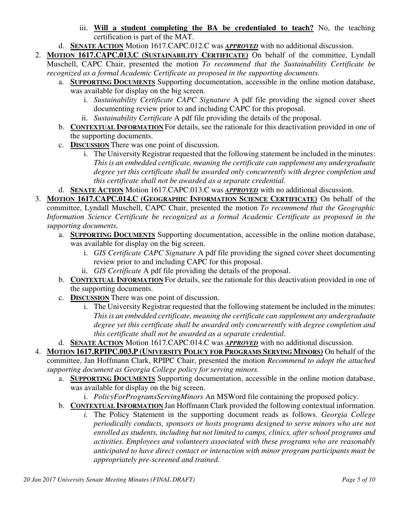- iii. **Will a student completing the BA be credentialed to teach?** No, the teaching certification is part of the MAT.
- d. **SENATE ACTION** Motion 1617.CAPC.012.C was *APPROVED* with no additional discussion.
- 2. **MOTION 1617.CAPC.013.C (SUSTAINABILITY CERTIFICATE)** On behalf of the committee, Lyndall Muschell, CAPC Chair, presented the motion *To recommend that the Sustainability Certificate be recognized as a formal Academic Certificate as proposed in the supporting documents.*
	- a. **SUPPORTING DOCUMENTS** Supporting documentation, accessible in the online motion database, was available for display on the big screen.
		- i. *Sustainability Certificate CAPC Signature* A pdf file providing the signed cover sheet documenting review prior to and including CAPC for this proposal.
		- ii. *Sustainability Certificate* A pdf file providing the details of the proposal.
	- b. **CONTEXTUAL INFORMATION** For details, see the rationale for this deactivation provided in one of the supporting documents.
	- c. **DISCUSSION** There was one point of discussion.
		- i. The University Registrar requested that the following statement be included in the minutes: *This is an embedded certificate, meaning the certificate can supplement any undergraduate degree yet this certificate shall be awarded only concurrently with degree completion and this certificate shall not be awarded as a separate credential.*
	- d. **SENATE ACTION** Motion 1617.CAPC.013.C was *APPROVED* with no additional discussion.
- 3. **MOTION 1617.CAPC.014.C (GEOGRAPHIC INFORMATION SCIENCE CERTIFICATE)** On behalf of the committee, Lyndall Muschell, CAPC Chair, presented the motion *To recommend that the Geographic Information Science Certificate be recognized as a formal Academic Certificate as proposed in the supporting documents.*
	- a. **SUPPORTING DOCUMENTS** Supporting documentation, accessible in the online motion database, was available for display on the big screen.
		- i. *GIS Certificate CAPC Signature* A pdf file providing the signed cover sheet documenting review prior to and including CAPC for this proposal.
		- ii. *GIS Certificate* A pdf file providing the details of the proposal.
	- b. **CONTEXTUAL INFORMATION** For details, see the rationale for this deactivation provided in one of the supporting documents.
	- c. **DISCUSSION** There was one point of discussion.
		- i. The University Registrar requested that the following statement be included in the minutes: *This is an embedded certificate, meaning the certificate can supplement any undergraduate degree yet this certificate shall be awarded only concurrently with degree completion and this certificate shall not be awarded as a separate credential.*
	- d. **SENATE ACTION** Motion 1617.CAPC.014.C was *APPROVED* with no additional discussion.
- 4. **MOTION 1617.RPIPC.003.P (UNIVERSITY POLICY FOR PROGRAMS SERVING MINORS)** On behalf of the committee, Jan Hoffmann Clark, RPIPC Chair, presented the motion *Recommend to adopt the attached supporting document as Georgia College policy for serving minors.*
	- a. **SUPPORTING DOCUMENTS** Supporting documentation, accessible in the online motion database, was available for display on the big screen.
		- i. *PolicyForProgramsServingMinors* An MSWord file containing the proposed policy.
	- b. **CONTEXTUAL INFORMATION** Jan Hoffmann Clark provided the following contextual information.
		- *i.* The Policy Statement in the supporting document reads as follows. *Georgia College periodically conducts, sponsors or hosts programs designed to serve minors who are not enrolled as students, including but not limited to camps, clinics, after school programs and activities. Employees and volunteers associated with these programs who are reasonably anticipated to have direct contact or interaction with minor program participants must be appropriately pre-screened and trained.*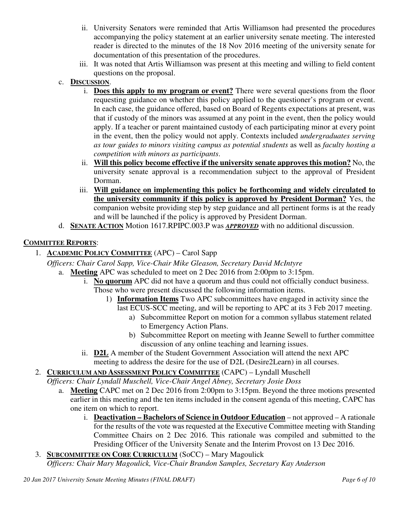- ii. University Senators were reminded that Artis Williamson had presented the procedures accompanying the policy statement at an earlier university senate meeting. The interested reader is directed to the minutes of the 18 Nov 2016 meeting of the university senate for documentation of this presentation of the procedures.
- iii. It was noted that Artis Williamson was present at this meeting and willing to field content questions on the proposal.
- c. **DISCUSSION**.
	- i. **Does this apply to my program or event?** There were several questions from the floor requesting guidance on whether this policy applied to the questioner's program or event. In each case, the guidance offered, based on Board of Regents expectations at present, was that if custody of the minors was assumed at any point in the event, then the policy would apply. If a teacher or parent maintained custody of each participating minor at every point in the event, then the policy would not apply. Contexts included *undergraduates serving as tour guides to minors visiting campus as potential students* as well as *faculty hosting a competition with minors as participants*.
	- ii. **Will this policy become effective if the university senate approves this motion?** No, the university senate approval is a recommendation subject to the approval of President Dorman.
	- iii. **Will guidance on implementing this policy be forthcoming and widely circulated to the university community if this policy is approved by President Dorman?** Yes, the companion website providing step by step guidance and all pertinent forms is at the ready and will be launched if the policy is approved by President Dorman.
- d. **SENATE ACTION** Motion 1617.RPIPC.003.P was *APPROVED* with no additional discussion.

# **COMMITTEE REPORTS**:

1. **ACADEMIC POLICY COMMITTEE** (APC) – Carol Sapp

*Officers: Chair Carol Sapp, Vice-Chair Mike Gleason, Secretary David McIntyre*

- a. **Meeting** APC was scheduled to meet on 2 Dec 2016 from 2:00pm to 3:15pm.
	- i. **No quorum** APC did not have a quorum and thus could not officially conduct business. Those who were present discussed the following information items.
		- 1) **Information Items** Two APC subcommittees have engaged in activity since the last ECUS-SCC meeting, and will be reporting to APC at its 3 Feb 2017 meeting.
			- a) Subcommittee Report on motion for a common syllabus statement related to Emergency Action Plans.
			- b) Subcommittee Report on meeting with Jeanne Sewell to further committee discussion of any online teaching and learning issues.
	- ii. **D2L** A member of the Student Government Association will attend the next APC meeting to address the desire for the use of D2L (Desire2Learn) in all courses.
- 2. **CURRICULUM AND ASSESSMENT POLICY COMMITTEE** (CAPC) Lyndall Muschell

*Officers: Chair Lyndall Muschell, Vice-Chair Angel Abney, Secretary Josie Doss* 

- a. **Meeting** CAPC met on 2 Dec 2016 from 2:00pm to 3:15pm. Beyond the three motions presented earlier in this meeting and the ten items included in the consent agenda of this meeting, CAPC has one item on which to report.
	- i. **Deactivation Bachelors of Science in Outdoor Education** not approved A rationale for the results of the vote was requested at the Executive Committee meeting with Standing Committee Chairs on 2 Dec 2016. This rationale was compiled and submitted to the Presiding Officer of the University Senate and the Interim Provost on 13 Dec 2016.
- 3. **SUBCOMMITTEE ON CORE CURRICULUM** (SoCC) Mary Magoulick *Officers: Chair Mary Magoulick, Vice-Chair Brandon Samples, Secretary Kay Anderson*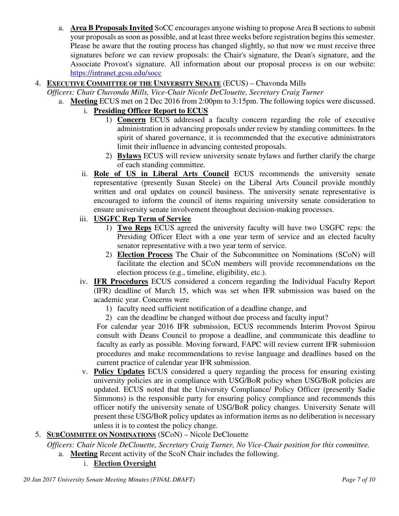a. **Area B Proposals Invited** SoCC encourages anyone wishing to propose Area B sections to submit your proposals as soon as possible, and at least three weeks before registration begins this semester. Please be aware that the routing process has changed slightly, so that now we must receive three signatures before we can review proposals: the Chair's signature, the Dean's signature, and the Associate Provost's signature. All information about our proposal process is on our website: https://intranet.gcsu.edu/socc

## 4. **EXECUTIVE COMMITTEE OF THE UNIVERSITY SENATE** (ECUS) – Chavonda Mills

*Officers: Chair Chavonda Mills, Vice-Chair Nicole DeClouette, Secretary Craig Turner*

- a. **Meeting** ECUS met on 2 Dec 2016 from 2:00pm to 3:15pm. The following topics were discussed.
	- i. **Presiding Officer Report to ECUS**
		- 1) **Concern** ECUS addressed a faculty concern regarding the role of executive administration in advancing proposals under review by standing committees. In the spirit of shared governance, it is recommended that the executive administrators limit their influence in advancing contested proposals.
		- 2) **Bylaws** ECUS will review university senate bylaws and further clarify the charge of each standing committee.
	- ii. **Role of US in Liberal Arts Council** ECUS recommends the university senate representative (presently Susan Steele) on the Liberal Arts Council provide monthly written and oral updates on council business. The university senate representative is encouraged to inform the council of items requiring university senate consideration to ensure university senate involvement throughout decision-making processes.

## iii. **USGFC Rep Term of Service**

- 1) **Two Reps** ECUS agreed the university faculty will have two USGFC reps: the Presiding Officer Elect with a one year term of service and an elected faculty senator representative with a two year term of service.
- 2) **Election Process** The Chair of the Subcommittee on Nominations (SCoN) will facilitate the election and SCoN members will provide recommendations on the election process (e.g., timeline, eligibility, etc.).
- iv. **IFR Procedures** ECUS considered a concern regarding the Individual Faculty Report (IFR) deadline of March 15, which was set when IFR submission was based on the academic year. Concerns were
	- 1) faculty need sufficient notification of a deadline change, and
	- 2) can the deadline be changed without due process and faculty input?

For calendar year 2016 IFR submission, ECUS recommends Interim Provost Spirou consult with Deans Council to propose a deadline, and communicate this deadline to faculty as early as possible. Moving forward, FAPC will review current IFR submission procedures and make recommendations to revise language and deadlines based on the current practice of calendar year IFR submission.

- v. **Policy Updates** ECUS considered a query regarding the process for ensuring existing university policies are in compliance with USG/BoR policy when USG/BoR policies are updated. ECUS noted that the University Compliance/ Policy Officer (presently Sadie Simmons) is the responsible party for ensuring policy compliance and recommends this officer notify the university senate of USG/BoR policy changes. University Senate will present these USG/BoR policy updates as information items as no deliberation is necessary unless it is to contest the policy change.
- 5. **SUBCOMMITEE ON NOMINATIONS** (SCoN) Nicole DeClouette

*Officers: Chair Nicole DeClouette, Secretary Craig Turner, No Vice-Chair position for this committee.*

- a. **Meeting** Recent activity of the ScoN Chair includes the following.
	- i. **Election Oversight**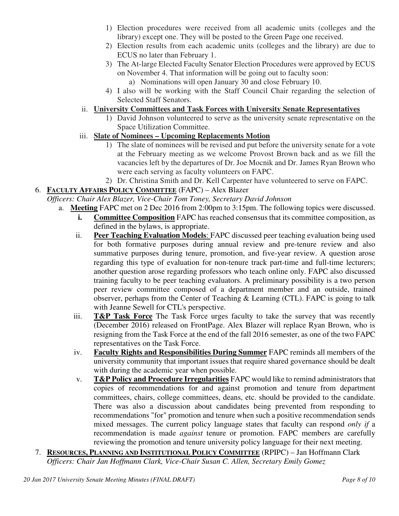- 1) Election procedures were received from all academic units (colleges and the library) except one. They will be posted to the Green Page one received.
- 2) Election results from each academic units (colleges and the library) are due to ECUS no later than February 1.
- 3) The At-large Elected Faculty Senator Election Procedures were approved by ECUS on November 4. That information will be going out to faculty soon:
	- a) Nominations will open January 30 and close February 10.
- 4) I also will be working with the Staff Council Chair regarding the selection of Selected Staff Senators.

## ii. **University Committees and Task Forces with University Senate Representatives**

- 1) David Johnson volunteered to serve as the university senate representative on the Space Utilization Committee.
- iii. **Slate of Nominees Upcoming Replacements Motion**
	- 1) The slate of nominees will be revised and put before the university senate for a vote at the February meeting as we welcome Provost Brown back and as we fill the vacancies left by the departures of Dr. Joe Mocnik and Dr. James Ryan Brown who were each serving as faculty volunteers on FAPC.
	- 2) Dr. Christina Smith and Dr. Kell Carpenter have volunteered to serve on FAPC.

# 6. **FACULTY AFFAIRS POLICY COMMITTEE** (FAPC) – Alex Blazer

*Officers: Chair Alex Blazer, Vice-Chair Tom Toney, Secretary David Johnson*

- a. **Meeting** FAPC met on 2 Dec 2016 from 2:00pm to 3:15pm. The following topics were discussed.
	- **i. Committee Composition** FAPC has reached consensus that its committee composition, as defined in the bylaws, is appropriate.
	- ii. **Peer Teaching Evaluation Models**: FAPC discussed peer teaching evaluation being used for both formative purposes during annual review and pre-tenure review and also summative purposes during tenure, promotion, and five-year review. A question arose regarding this type of evaluation for non-tenure track part-time and full-time lecturers; another question arose regarding professors who teach online only. FAPC also discussed training faculty to be peer teaching evaluators. A preliminary possibility is a two person peer review committee composed of a department member and an outside, trained observer, perhaps from the Center of Teaching  $\&$  Learning (CTL). FAPC is going to talk with Jeanne Sewell for CTL's perspective.
	- iii. **T&P Task Force** The Task Force urges faculty to take the survey that was recently (December 2016) released on FrontPage. Alex Blazer will replace Ryan Brown, who is resigning from the Task Force at the end of the fall 2016 semester, as one of the two FAPC representatives on the Task Force.
	- iv. **Faculty Rights and Responsibilities During Summer** FAPC reminds all members of the university community that important issues that require shared governance should be dealt with during the academic year when possible.
	- v. **T&P Policy and Procedure Irregularities** FAPC would like to remind administrators that copies of recommendations for and against promotion and tenure from department committees, chairs, college committees, deans, etc. should be provided to the candidate. There was also a discussion about candidates being prevented from responding to recommendations "for" promotion and tenure when such a positive recommendation sends mixed messages. The current policy language states that faculty can respond *only if* a recommendation is made *against* tenure or promotion. FAPC members are carefully reviewing the promotion and tenure university policy language for their next meeting.
- 7. **RESOURCES, PLANNING AND INSTITUTIONAL POLICY COMMITTEE** (RPIPC) Jan Hoffmann Clark *Officers: Chair Jan Hoffmann Clark, Vice-Chair Susan C. Allen, Secretary Emily Gomez*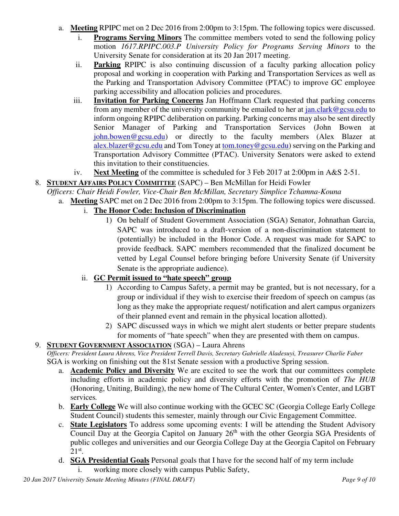- a. **Meeting** RPIPC met on 2 Dec 2016 from 2:00pm to 3:15pm. The following topics were discussed.
	- i. **Programs Serving Minors** The committee members voted to send the following policy motion *1617.RPIPC.003.P University Policy for Programs Serving Minors* to the University Senate for consideration at its 20 Jan 2017 meeting.
	- ii. **Parking** RPIPC is also continuing discussion of a faculty parking allocation policy proposal and working in cooperation with Parking and Transportation Services as well as the Parking and Transportation Advisory Committee (PTAC) to improve GC employee parking accessibility and allocation policies and procedures.
	- iii. **Invitation for Parking Concerns** Jan Hoffmann Clark requested that parking concerns from any member of the university community be emailed to her at  $jan.class@gesu.edu$  to inform ongoing RPIPC deliberation on parking. Parking concerns may also be sent directly Senior Manager of Parking and Transportation Services (John Bowen at john.bowen@gcsu.edu) or directly to the faculty members (Alex Blazer at alex.blazer@gcsu.edu and Tom Toney at tom.toney@gcsu.edu) serving on the Parking and Transportation Advisory Committee (PTAC). University Senators were asked to extend this invitation to their constituencies.
	- iv. **Next Meeting** of the committee is scheduled for 3 Feb 2017 at 2:00pm in A&S 2-51.

# 8. **STUDENT AFFAIRS POLICY COMMITTEE** (SAPC) – Ben McMillan for Heidi Fowler

- *Officers: Chair Heidi Fowler, Vice-Chair Ben McMillan, Secretary Simplice Tchamna-Kouna*
- a. **Meeting** SAPC met on 2 Dec 2016 from 2:00pm to 3:15pm. The following topics were discussed.

# i. **The Honor Code: Inclusion of Discrimination**

1) On behalf of Student Government Association (SGA) Senator, Johnathan Garcia, SAPC was introduced to a draft-version of a non-discrimination statement to (potentially) be included in the Honor Code. A request was made for SAPC to provide feedback. SAPC members recommended that the finalized document be vetted by Legal Counsel before bringing before University Senate (if University Senate is the appropriate audience).

## ii. **GC Permit issued to "hate speech" group**

- 1) According to Campus Safety, a permit may be granted, but is not necessary, for a group or individual if they wish to exercise their freedom of speech on campus (as long as they make the appropriate request/ notification and alert campus organizers of their planned event and remain in the physical location allotted).
- 2) SAPC discussed ways in which we might alert students or better prepare students for moments of "hate speech" when they are presented with them on campus.

## 9. **STUDENT GOVERNMENT ASSOCIATION** (SGA) – Laura Ahrens

*Officers: President Laura Ahrens, Vice President Terrell Davis, Secretary Gabrielle Aladesuyi, Treasurer Charlie Faber* SGA is working on finishing out the 81st Senate session with a productive Spring session.

- a. **Academic Policy and Diversity** We are excited to see the work that our committees complete including efforts in academic policy and diversity efforts with the promotion of *The HUB*  (Honoring, Uniting, Building), the new home of The Cultural Center, Women's Center, and LGBT services*.*
- b. **Early College** We will also continue working with the GCEC SC (Georgia College Early College Student Council) students this semester, mainly through our Civic Engagement Committee.
- c. **State Legislators** To address some upcoming events: I will be attending the Student Advisory Council Day at the Georgia Capitol on January 26<sup>th</sup> with the other Georgia SGA Presidents of public colleges and universities and our Georgia College Day at the Georgia Capitol on February  $21<sup>st</sup>$ .
- d. **SGA Presidential Goals** Personal goals that I have for the second half of my term include
	- i. working more closely with campus Public Safety,